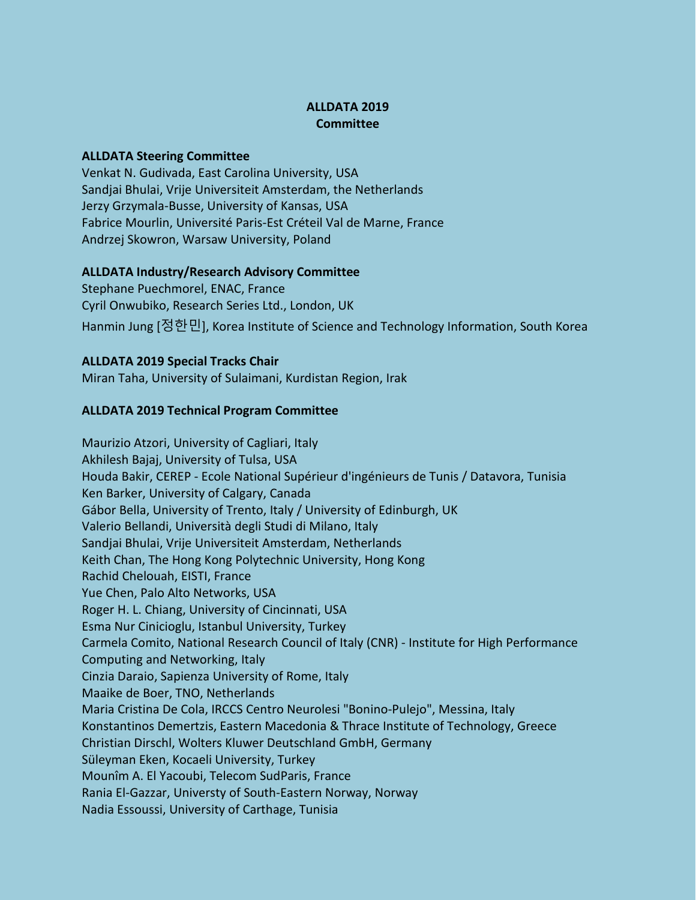## **ALLDATA 2019 Committee**

#### **ALLDATA Steering Committee**

Venkat N. Gudivada, East Carolina University, USA Sandjai Bhulai, Vrije Universiteit Amsterdam, the Netherlands Jerzy Grzymala-Busse, University of Kansas, USA Fabrice Mourlin, Université Paris-Est Créteil Val de Marne, France Andrzej Skowron, Warsaw University, Poland

### **ALLDATA Industry/Research Advisory Committee**

Stephane Puechmorel, ENAC, France Cyril Onwubiko, Research Series Ltd., London, UK Hanmin Jung [정한민], Korea Institute of Science and Technology Information, South Korea

### **ALLDATA 2019 Special Tracks Chair**

Miran Taha, University of Sulaimani, Kurdistan Region, Irak

# **ALLDATA 2019 Technical Program Committee**

Maurizio Atzori, University of Cagliari, Italy Akhilesh Bajaj, University of Tulsa, USA Houda Bakir, CEREP - Ecole National Supérieur d'ingénieurs de Tunis / Datavora, Tunisia Ken Barker, University of Calgary, Canada Gábor Bella, University of Trento, Italy / University of Edinburgh, UK Valerio Bellandi, Università degli Studi di Milano, Italy Sandjai Bhulai, Vrije Universiteit Amsterdam, Netherlands Keith Chan, The Hong Kong Polytechnic University, Hong Kong Rachid Chelouah, EISTI, France Yue Chen, Palo Alto Networks, USA Roger H. L. Chiang, University of Cincinnati, USA Esma Nur Cinicioglu, Istanbul University, Turkey Carmela Comito, National Research Council of Italy (CNR) - Institute for High Performance Computing and Networking, Italy Cinzia Daraio, Sapienza University of Rome, Italy Maaike de Boer, TNO, Netherlands Maria Cristina De Cola, IRCCS Centro Neurolesi "Bonino-Pulejo", Messina, Italy Konstantinos Demertzis, Eastern Macedonia & Thrace Institute of Technology, Greece Christian Dirschl, Wolters Kluwer Deutschland GmbH, Germany Süleyman Eken, Kocaeli University, Turkey Mounîm A. El Yacoubi, Telecom SudParis, France Rania El-Gazzar, Universty of South-Eastern Norway, Norway Nadia Essoussi, University of Carthage, Tunisia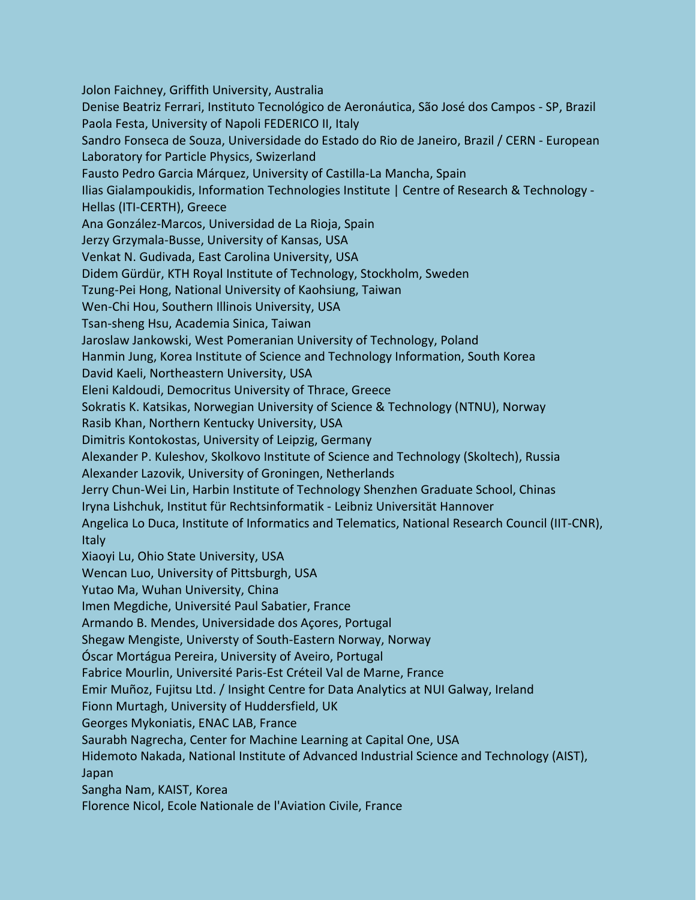Jolon Faichney, Griffith University, Australia Denise Beatriz Ferrari, Instituto Tecnológico de Aeronáutica, São José dos Campos - SP, Brazil Paola Festa, University of Napoli FEDERICO II, Italy Sandro Fonseca de Souza, Universidade do Estado do Rio de Janeiro, Brazil / CERN - European Laboratory for Particle Physics, Swizerland Fausto Pedro Garcia Márquez, University of Castilla-La Mancha, Spain Ilias Gialampoukidis, Information Technologies Institute | Centre of Research & Technology - Hellas (ITI-CERTH), Greece Ana González-Marcos, Universidad de La Rioja, Spain Jerzy Grzymala-Busse, University of Kansas, USA Venkat N. Gudivada, East Carolina University, USA Didem Gürdür, KTH Royal Institute of Technology, Stockholm, Sweden Tzung-Pei Hong, National University of Kaohsiung, Taiwan Wen-Chi Hou, Southern Illinois University, USA Tsan-sheng Hsu, Academia Sinica, Taiwan Jaroslaw Jankowski, West Pomeranian University of Technology, Poland Hanmin Jung, Korea Institute of Science and Technology Information, South Korea David Kaeli, Northeastern University, USA Eleni Kaldoudi, Democritus University of Thrace, Greece Sokratis K. Katsikas, Norwegian University of Science & Technology (NTNU), Norway Rasib Khan, Northern Kentucky University, USA Dimitris Kontokostas, University of Leipzig, Germany Alexander P. Kuleshov, Skolkovo Institute of Science and Technology (Skoltech), Russia Alexander Lazovik, University of Groningen, Netherlands Jerry Chun-Wei Lin, Harbin Institute of Technology Shenzhen Graduate School, Chinas Iryna Lishchuk, Institut für Rechtsinformatik - Leibniz Universität Hannover Angelica Lo Duca, Institute of Informatics and Telematics, National Research Council (IIT-CNR), Italy Xiaoyi Lu, Ohio State University, USA Wencan Luo, University of Pittsburgh, USA Yutao Ma, Wuhan University, China Imen Megdiche, Université Paul Sabatier, France Armando B. Mendes, Universidade dos Açores, Portugal Shegaw Mengiste, Universty of South-Eastern Norway, Norway Óscar Mortágua Pereira, University of Aveiro, Portugal Fabrice Mourlin, Université Paris-Est Créteil Val de Marne, France Emir Muñoz, Fujitsu Ltd. / Insight Centre for Data Analytics at NUI Galway, Ireland Fionn Murtagh, University of Huddersfield, UK Georges Mykoniatis, ENAC LAB, France Saurabh Nagrecha, Center for Machine Learning at Capital One, USA Hidemoto Nakada, National Institute of Advanced Industrial Science and Technology (AIST), Japan Sangha Nam, KAIST, Korea Florence Nicol, Ecole Nationale de l'Aviation Civile, France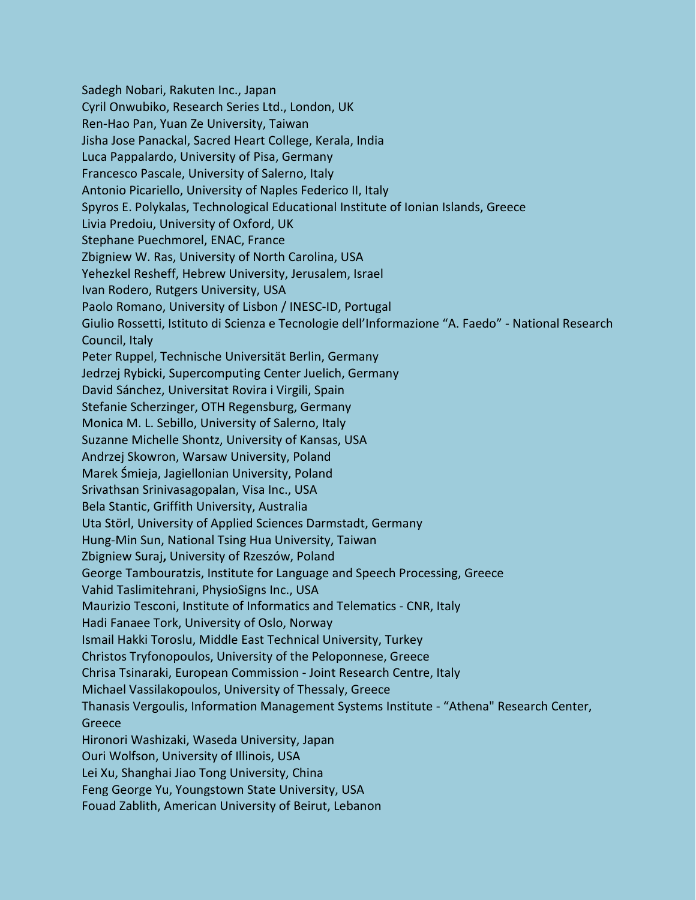Sadegh Nobari, Rakuten Inc., Japan Cyril Onwubiko, Research Series Ltd., London, UK Ren-Hao Pan, Yuan Ze University, Taiwan Jisha Jose Panackal, Sacred Heart College, Kerala, India Luca Pappalardo, University of Pisa, Germany Francesco Pascale, University of Salerno, Italy Antonio Picariello, University of Naples Federico II, Italy Spyros E. Polykalas, Technological Educational Institute of Ionian Islands, Greece Livia Predoiu, University of Oxford, UK Stephane Puechmorel, ENAC, France Zbigniew W. Ras, University of North Carolina, USA Yehezkel Resheff, Hebrew University, Jerusalem, Israel Ivan Rodero, Rutgers University, USA Paolo Romano, University of Lisbon / INESC-ID, Portugal Giulio Rossetti, Istituto di Scienza e Tecnologie dell'Informazione "A. Faedo" - National Research Council, Italy Peter Ruppel, Technische Universität Berlin, Germany Jedrzej Rybicki, Supercomputing Center Juelich, Germany David Sánchez, Universitat Rovira i Virgili, Spain Stefanie Scherzinger, OTH Regensburg, Germany Monica M. L. Sebillo, University of Salerno, Italy Suzanne Michelle Shontz, University of Kansas, USA Andrzej Skowron, Warsaw University, Poland Marek Śmieja, Jagiellonian University, Poland Srivathsan Srinivasagopalan, Visa Inc., USA Bela Stantic, Griffith University, Australia Uta Störl, University of Applied Sciences Darmstadt, Germany Hung-Min Sun, National Tsing Hua University, Taiwan Zbigniew Suraj**,** University of Rzeszów, Poland George Tambouratzis, Institute for Language and Speech Processing, Greece Vahid Taslimitehrani, PhysioSigns Inc., USA Maurizio Tesconi, Institute of Informatics and Telematics - CNR, Italy Hadi Fanaee Tork, University of Oslo, Norway Ismail Hakki Toroslu, Middle East Technical University, Turkey Christos Tryfonopoulos, University of the Peloponnese, Greece Chrisa Tsinaraki, European Commission - Joint Research Centre, Italy Michael Vassilakopoulos, University of Thessaly, Greece Thanasis Vergoulis, Information Management Systems Institute - "Athena" Research Center, Greece Hironori Washizaki, Waseda University, Japan Ouri Wolfson, University of Illinois, USA Lei Xu, Shanghai Jiao Tong University, China Feng George Yu, Youngstown State University, USA Fouad Zablith, American University of Beirut, Lebanon